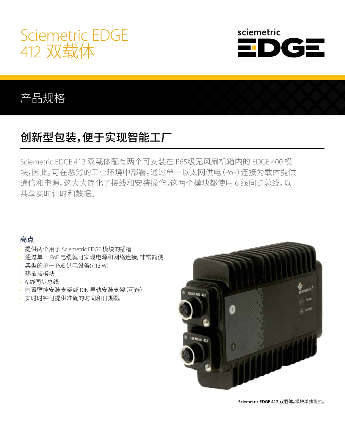



### 产品规格

# 创新型包装,便于实现智能工厂

Sciemetric EDGE 412 双载体配有两个可安装在IP65级无风扇机箱内的 EDGE 400 模 块,因此,可在恶劣的工业环境中部署。通过单一以太网供电(PoE)连接为载体提供 通信和电源,这大大简化了接线和安装操作。这两个模块都使用 6 线同步总线,以 共享实时计时和数据。

### 亮点

- 提供两个用于 Sciemetric EDGE 模块的插槽
- 通过单一 PoE 电缆就可实现电源和网络连接,非常简便
- 典型的单一 PoE 供电设备(<13 W)
- 热插拔模块
- 6 线同步总线
- 内置壁挂安装支架或 DIN 导轨安装支架(可选)
- 实时时钟可提供准确的时间和日期戳



**Sciemetric EDGE 412** 双载体。模块单独售卖。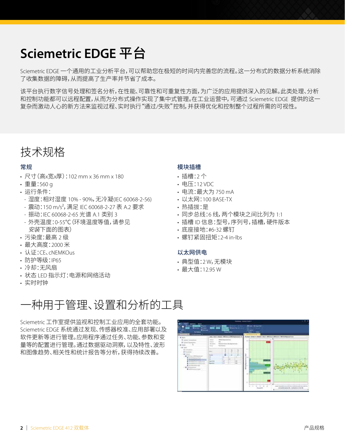# **Sciemetric EDGE** 平台

Sciemetric EDGE 一个通用的工业分析平台,可以帮助您在极短的时间内完善您的流程。这一分布式的数据分析系统消除 了收集数据的障碍,从而提高了生产率并节省了成本。

该平台执行数字信号处理和签名分析,在性能、可靠性和可重复性方面,为广泛的应用提供深入的见解。此类处理、分析 和控制功能都可以远程配置,从而为分布式操作实现了集中式管理。在工业运营中,可通过 Sciemetric EDGE 提供的这一 复杂而激动人心的新方法来监视过程、实时执行"通过/失败"控制,并获得优化和控制整个过程所需的可视性。

## 技术规格

### 常规

- 尺寸(高x宽x厚):102 mm x 36 mm x 180
- 重量:560 g
- 运行条件:
	- 湿度:相对湿度 10% 90%,无冷凝(IEC 60068-2-56)
	- 震动:150 m/s<sup>2</sup>, 满足 IEC 60068-2-27 表 A.2 要求
	- 振动:IEC 60068-2-65 光谱 A.1 类别 3
- 外壳温度:0-55℃(环境温度等值,请参见 安装下面的图表)
- 污染度:最高 2 级
- 最大高度:2000 米
- 认证:CE、cNEMKOus
- 防护等级:IP65
- 冷却:无风扇
- 状态 LED 指示灯:电源和网络活动
- 实时时钟

#### 模块插槽

- 插槽:2 个
- 电压:12 VDC
- 电流:最大为 750 mA
- 以太网:100 BASE-TX
- 热插拔:是
- 同步总线:6 线,两个模块之间比列为 1:1
- 插槽 ID 信息:型号,序列号,插槽,硬件版本
- 底座接地:#6-32 螺钉
- 螺钉紧固扭矩:2-4 in-lbs

#### 以太网供电

- 典型值:2 W,无模块
- 最大值:12.95 W

## 一种用于管理、设置和分析的工具

Sciemetric 工作室提供监视和控制工业应用的全套功能。 Sciemetric EDGE 系统通过发现、传感器校准、应用部署以及 软件更新等进行管理。应用程序通过任务、功能、参数和变 量等的配置进行管理。通过数据驱动洞察,以及特性、波形 和图像趋势、相关性和统计报告等分析,获得持续改善。

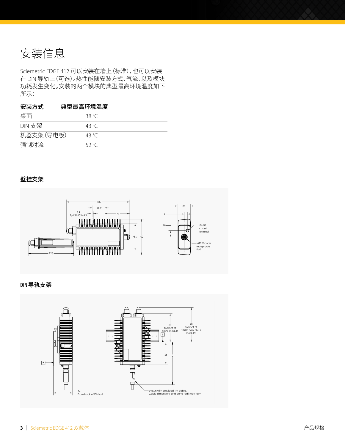安装信息

Sciemetric EDGE 412 可以安装在墙上(标准),也可以安装 在 DIN 导轨上(可选)。热性能随安装方式、气流、以及模块 功耗发生变化。安装的两个模块的典型最高环境温度如下 所示:

#### 安装方式 典型最高环境温度

| 桌面         | 38 °C |
|------------|-------|
| DIN 支架     | 43 °C |
| 机器支架 (导电板) | 43 °C |
| 强制对流       | 52 °C |

#### 壁挂支架



#### DIN 导轨支架